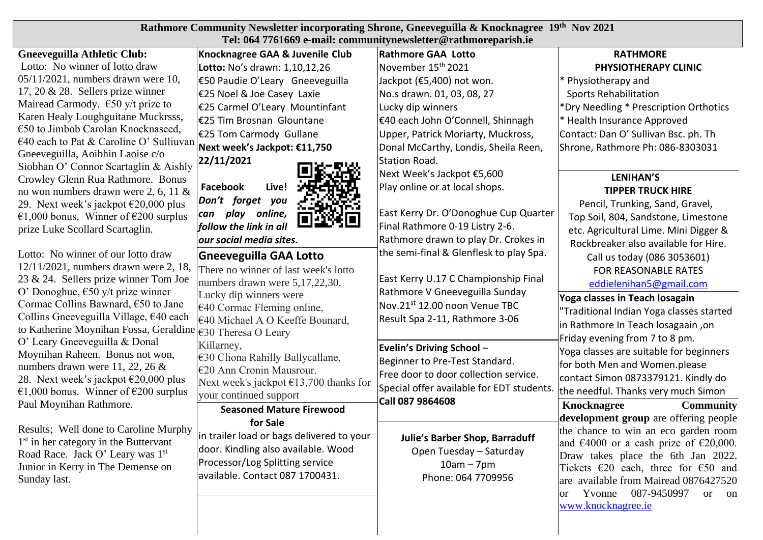| Rathmore Community Newsletter incorporating Shrone, Gneeveguilla & Knocknagree 19th Nov 2021 |  |
|----------------------------------------------------------------------------------------------|--|
| Tel: 064 7761669 e-mail: communitynewsletter@rathmoreparish.ie                               |  |

## **Gneeveguilla Athletic Club:** Lotto: No winner of lotto draw 05/11/2021, numbers drawn were 10, 17, 20 & 28. Sellers prize winner Mairead Carmody.  $\epsilon$ 50 y/t prize to Karen Healy Loughguitane Muckrsss, €50 to Jimbob Carolan Knocknaseed, €40 each to Pat & Caroline O' Sulliuvan Gneeveguilla, Aoibhin Laoise c/o Siobhan O' Connor Scartaglin & Aishly Crowley Glenn Rua Rathmore. Bonus no won numbers drawn were 2, 6, 11 & 29. Next week's jackpot  $\epsilon$ 20,000 plus €1,000 bonus. Winner of €200 surplus prize Luke Scollard Scartaglin.

Lotto: No winner of our lotto draw 12/11/2021, numbers drawn were 2, 18, 23 & 24. Sellers prize winner Tom Joe O' Donoghue, €50 y/t prize winner Cormac Collins Bawnard, €50 to Jane Collins Gneeveguilla Village, €40 each to Katherine Moynihan Fossa, Geraldine O' Leary Gneeveguilla & Donal Moynihan Raheen. Bonus not won, numbers drawn were 11, 22, 26 & 28. Next week's jackpot  $\epsilon$ 20,000 plus €1,000 bonus. Winner of €200 surplus Paul Moynihan Rathmore.

Results; Well done to Caroline Murphy 1 st in her category in the Buttervant Road Race. Jack O' Leary was 1st Junior in Kerry in The Demense on Sunday last.

| Knocknagree GAA & Juvenile Club                              | <b>Rathmore GAA Lotto</b>                                                                               | <b>RATHMORE</b>                                                                                                                                                                          |  |  |
|--------------------------------------------------------------|---------------------------------------------------------------------------------------------------------|------------------------------------------------------------------------------------------------------------------------------------------------------------------------------------------|--|--|
| Lotto: No's drawn: 1,10,12,26                                | November 15 <sup>th</sup> 2021                                                                          | PHYSIOTHERAPY CLINIC                                                                                                                                                                     |  |  |
| €50 Paudie O'Leary Gneeveguilla                              | Jackpot (€5,400) not won.                                                                               | * Physiotherapy and                                                                                                                                                                      |  |  |
| €25 Noel & Joe Casey Laxie                                   | No.s drawn. 01, 03, 08, 27                                                                              | <b>Sports Rehabilitation</b>                                                                                                                                                             |  |  |
| €25 Carmel O'Leary Mountinfant                               | Lucky dip winners                                                                                       | *Dry Needling * Prescription Orthotics                                                                                                                                                   |  |  |
| €25 Tim Brosnan Glountane                                    | €40 each John O'Connell, Shinnagh                                                                       | * Health Insurance Approved                                                                                                                                                              |  |  |
| €25 Tom Carmody Gullane                                      | Upper, Patrick Moriarty, Muckross,                                                                      | Contact: Dan O' Sullivan Bsc. ph. Th                                                                                                                                                     |  |  |
| Next week's Jackpot: €11,750                                 | Donal McCarthy, Londis, Sheila Reen,                                                                    | Shrone, Rathmore Ph: 086-8303031                                                                                                                                                         |  |  |
| 22/11/2021                                                   | Station Road.                                                                                           |                                                                                                                                                                                          |  |  |
|                                                              | Next Week's Jackpot €5,600                                                                              | <b>LENIHAN'S</b>                                                                                                                                                                         |  |  |
| <b>Facebook</b><br>Live!                                     | Play online or at local shops.                                                                          | <b>TIPPER TRUCK HIRE</b>                                                                                                                                                                 |  |  |
| Don't forget you                                             |                                                                                                         | Pencil, Trunking, Sand, Gravel,                                                                                                                                                          |  |  |
| can play<br>online,                                          | East Kerry Dr. O'Donoghue Cup Quarter                                                                   | Top Soil, 804, Sandstone, Limestone                                                                                                                                                      |  |  |
| follow the link in all                                       | Final Rathmore 0-19 Listry 2-6.                                                                         | etc. Agricultural Lime. Mini Digger &                                                                                                                                                    |  |  |
| our social media sites.                                      | Rathmore drawn to play Dr. Crokes in                                                                    | Rockbreaker also available for Hire.                                                                                                                                                     |  |  |
| <b>Gneeveguilla GAA Lotto</b>                                | the semi-final & Glenflesk to play Spa.                                                                 | Call us today (086 3053601)                                                                                                                                                              |  |  |
| There no winner of last week's lotto                         | East Kerry U.17 C Championship Final<br>Rathmore V Gneeveguilla Sunday<br>Nov.21st 12.00 noon Venue TBC | FOR REASONABLE RATES<br>eddielenihan5@gmail.com                                                                                                                                          |  |  |
| numbers drawn were 5,17,22,30.                               |                                                                                                         |                                                                                                                                                                                          |  |  |
| Lucky dip winners were                                       |                                                                                                         | Yoga classes in Teach losagain                                                                                                                                                           |  |  |
| $\epsilon$ 40 Cormac Fleming online,                         |                                                                                                         | "Traditional Indian Yoga classes started<br>in Rathmore In Teach losagaain, on                                                                                                           |  |  |
| €40 Michael A O Keeffe Bounard,                              | Result Spa 2-11, Rathmore 3-06                                                                          |                                                                                                                                                                                          |  |  |
| €30 Theresa O Leary                                          |                                                                                                         | Friday evening from 7 to 8 pm.<br>Yoga classes are suitable for beginners<br>for both Men and Women.please<br>contact Simon 0873379121. Kindly do<br>the needful. Thanks very much Simon |  |  |
| Killarney,                                                   | Evelin's Driving School-                                                                                |                                                                                                                                                                                          |  |  |
| €30 Cliona Rahilly Ballycallane,<br>€20 Ann Cronin Mausrour. | Beginner to Pre-Test Standard.                                                                          |                                                                                                                                                                                          |  |  |
| Next week's jackpot €13,700 thanks for                       | Free door to door collection service.                                                                   |                                                                                                                                                                                          |  |  |
| your continued support                                       | Special offer available for EDT students.                                                               |                                                                                                                                                                                          |  |  |
| <b>Seasoned Mature Firewood</b>                              | Call 087 9864608                                                                                        | <b>Knocknagree</b><br><b>Community</b>                                                                                                                                                   |  |  |
| for Sale                                                     |                                                                                                         | development group are offering people                                                                                                                                                    |  |  |
| in trailer load or bags delivered to your                    |                                                                                                         | the chance to win an eco garden room                                                                                                                                                     |  |  |
| door. Kindling also available. Wood                          | <b>Julie's Barber Shop, Barraduff</b><br>Open Tuesday - Saturday<br>$10am - 7pm$                        | and $\text{\textsterling}4000$ or a cash prize of $\text{\textsterling}20,000$ .                                                                                                         |  |  |
| Processor/Log Splitting service                              |                                                                                                         | Draw takes place the 6th Jan 2022.                                                                                                                                                       |  |  |
| available. Contact 087 1700431.                              | Phone: 064 7709956                                                                                      | Tickets $\epsilon$ 20 each, three for $\epsilon$ 50 and                                                                                                                                  |  |  |
|                                                              |                                                                                                         | are available from Mairead 0876427520                                                                                                                                                    |  |  |
|                                                              |                                                                                                         | Yvonne<br>087-9450997<br><b>or</b><br><sub>or</sub><br><sub>on</sub><br>www.knocknagree.ie                                                                                               |  |  |
|                                                              |                                                                                                         |                                                                                                                                                                                          |  |  |